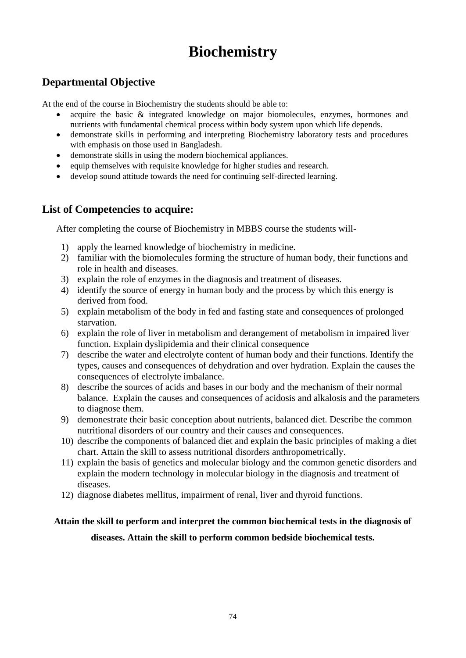# **Biochemistry**

#### **Departmental Objective**

At the end of the course in Biochemistry the students should be able to:

- acquire the basic  $\&$  integrated knowledge on major biomolecules, enzymes, hormones and nutrients with fundamental chemical process within body system upon which life depends.
- demonstrate skills in performing and interpreting Biochemistry laboratory tests and procedures with emphasis on those used in Bangladesh.
- demonstrate skills in using the modern biochemical appliances.
- equip themselves with requisite knowledge for higher studies and research.
- develop sound attitude towards the need for continuing self-directed learning.

#### **List of Competencies to acquire:**

After completing the course of Biochemistry in MBBS course the students will-

- 1) apply the learned knowledge of biochemistry in medicine.
- 2) familiar with the biomolecules forming the structure of human body, their functions and role in health and diseases.
- 3) explain the role of enzymes in the diagnosis and treatment of diseases.
- 4) identify the source of energy in human body and the process by which this energy is derived from food.
- 5) explain metabolism of the body in fed and fasting state and consequences of prolonged starvation.
- 6) explain the role of liver in metabolism and derangement of metabolism in impaired liver function. Explain dyslipidemia and their clinical consequence
- 7) describe the water and electrolyte content of human body and their functions. Identify the types, causes and consequences of dehydration and over hydration. Explain the causes the consequences of electrolyte imbalance.
- 8) describe the sources of acids and bases in our body and the mechanism of their normal balance. Explain the causes and consequences of acidosis and alkalosis and the parameters to diagnose them.
- 9) demonestrate their basic conception about nutrients, balanced diet. Describe the common nutritional disorders of our country and their causes and consequences.
- 10) describe the components of balanced diet and explain the basic principles of making a diet chart. Attain the skill to assess nutritional disorders anthropometrically.
- 11) explain the basis of genetics and molecular biology and the common genetic disorders and explain the modern technology in molecular biology in the diagnosis and treatment of diseases.
- 12) diagnose diabetes mellitus, impairment of renal, liver and thyroid functions.

#### **Attain the skill to perform and interpret the common biochemical tests in the diagnosis of**

#### **diseases. Attain the skill to perform common bedside biochemical tests.**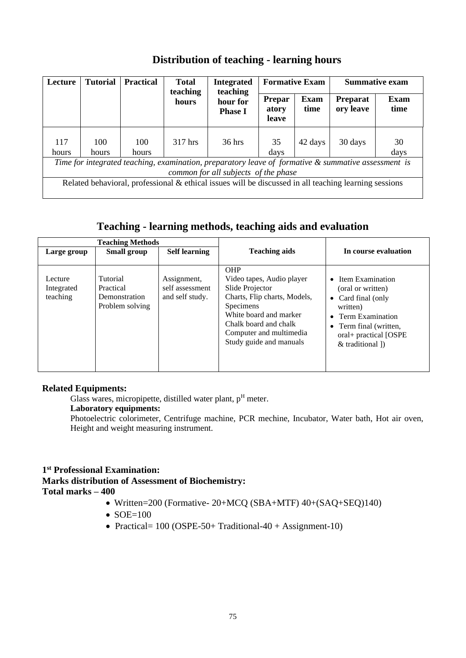| Lecture                                                                                                                                     | <b>Tutorial</b> | <b>Practical</b> | <b>Total</b><br>teaching | <b>Integrated</b><br>teaching | <b>Formative Exam</b>           |                     | <b>Summative exam</b>        |              |
|---------------------------------------------------------------------------------------------------------------------------------------------|-----------------|------------------|--------------------------|-------------------------------|---------------------------------|---------------------|------------------------------|--------------|
|                                                                                                                                             |                 |                  | hours                    | hour for<br><b>Phase I</b>    | <b>Prepar</b><br>atory<br>leave | <b>Exam</b><br>time | <b>Preparat</b><br>ory leave | Exam<br>time |
| 117<br>hours                                                                                                                                | 100<br>hours    | 100<br>hours     | 317 hrs                  | $36$ hrs                      | 35<br>days                      | 42 days             | 30 days                      | 30<br>days   |
| Time for integrated teaching, examination, preparatory leave of formative & summative assessment is<br>common for all subjects of the phase |                 |                  |                          |                               |                                 |                     |                              |              |
| Related behavioral, professional $\&$ ethical issues will be discussed in all teaching learning sessions                                    |                 |                  |                          |                               |                                 |                     |                              |              |

#### **Distribution of teaching - learning hours**

#### **Teaching - learning methods, teaching aids and evaluation**

|                                   | reaching rearning incorporations watching also and evaluation |                                                   |                                                                                                                                                                                                                         |                                                                                                                                                                        |  |
|-----------------------------------|---------------------------------------------------------------|---------------------------------------------------|-------------------------------------------------------------------------------------------------------------------------------------------------------------------------------------------------------------------------|------------------------------------------------------------------------------------------------------------------------------------------------------------------------|--|
| <b>Teaching Methods</b>           |                                                               |                                                   |                                                                                                                                                                                                                         |                                                                                                                                                                        |  |
| Large group                       | <b>Small group</b>                                            | <b>Self learning</b>                              | <b>Teaching aids</b>                                                                                                                                                                                                    | In course evaluation                                                                                                                                                   |  |
| Lecture<br>Integrated<br>teaching | Tutorial<br>Practical<br>Demonstration<br>Problem solving     | Assignment,<br>self assessment<br>and self study. | <b>OHP</b><br>Video tapes, Audio player<br>Slide Projector<br>Charts, Flip charts, Models,<br><b>Specimens</b><br>White board and marker<br>Chalk board and chalk<br>Computer and multimedia<br>Study guide and manuals | • Item Examination<br>(oral or written)<br>• Card final (only<br>written)<br>• Term Examination<br>• Term final (written,<br>oral+ practical [OSPE<br>& traditional 1) |  |

#### **Related Equipments:**

Glass wares, micropipette, distilled water plant,  $p<sup>H</sup>$  meter.

#### **Laboratory equipments:**

Photoelectric colorimeter, Centrifuge machine, PCR mechine, Incubator, Water bath, Hot air oven, Height and weight measuring instrument.

#### **1 st Professional Examination:**

**Marks distribution of Assessment of Biochemistry: Total marks – 400** 

#### • Written=200 (Formative- 20+MCQ (SBA+MTF) 40+(SAQ+SEQ)140)

- $\bullet$  SOE=100
- Practical= 100 (OSPE-50+ Traditional-40 + Assignment-10)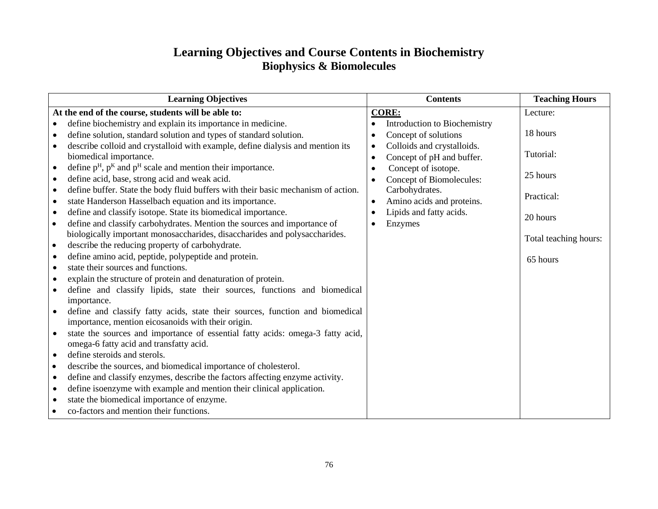#### **Learning Objectives and Course Contents in Biochemistry Biophysics & Biomolecules**

| <b>Learning Objectives</b>                                                                                                                                                                               | <b>Contents</b>                                                                             | <b>Teaching Hours</b> |
|----------------------------------------------------------------------------------------------------------------------------------------------------------------------------------------------------------|---------------------------------------------------------------------------------------------|-----------------------|
| At the end of the course, students will be able to:                                                                                                                                                      | <b>CORE:</b>                                                                                | Lecture:              |
| define biochemistry and explain its importance in medicine.<br>$\bullet$                                                                                                                                 | Introduction to Biochemistry<br>$\bullet$                                                   |                       |
| define solution, standard solution and types of standard solution.<br>$\bullet$                                                                                                                          | Concept of solutions                                                                        | 18 hours              |
| describe colloid and crystalloid with example, define dialysis and mention its<br>$\bullet$<br>biomedical importance.<br>define $p^H$ , $p^K$ and $p^H$ scale and mention their importance.<br>$\bullet$ | Colloids and crystalloids.<br>$\bullet$<br>Concept of pH and buffer.<br>Concept of isotope. | Tutorial:             |
| define acid, base, strong acid and weak acid.<br>$\bullet$                                                                                                                                               | Concept of Biomolecules:                                                                    | 25 hours              |
| define buffer. State the body fluid buffers with their basic mechanism of action.<br>$\bullet$<br>state Handerson Hasselbach equation and its importance.<br>$\bullet$                                   | Carbohydrates.<br>Amino acids and proteins.                                                 | Practical:            |
| define and classify isotope. State its biomedical importance.<br>$\bullet$<br>define and classify carbohydrates. Mention the sources and importance of<br>$\bullet$                                      | Lipids and fatty acids.<br>Enzymes<br>$\bullet$                                             | 20 hours              |
| biologically important monosaccharides, disaccharides and polysaccharides.                                                                                                                               |                                                                                             | Total teaching hours: |
| describe the reducing property of carbohydrate.<br>$\bullet$                                                                                                                                             |                                                                                             |                       |
| define amino acid, peptide, polypeptide and protein.<br>$\bullet$                                                                                                                                        |                                                                                             | 65 hours              |
| state their sources and functions.<br>$\bullet$                                                                                                                                                          |                                                                                             |                       |
| explain the structure of protein and denaturation of protein.<br>$\bullet$                                                                                                                               |                                                                                             |                       |
| define and classify lipids, state their sources, functions and biomedical<br>importance.                                                                                                                 |                                                                                             |                       |
| define and classify fatty acids, state their sources, function and biomedical<br>$\bullet$<br>importance, mention eicosanoids with their origin.                                                         |                                                                                             |                       |
| state the sources and importance of essential fatty acids: omega-3 fatty acid,<br>$\bullet$                                                                                                              |                                                                                             |                       |
| omega-6 fatty acid and transfatty acid.                                                                                                                                                                  |                                                                                             |                       |
| define steroids and sterols.<br>$\bullet$                                                                                                                                                                |                                                                                             |                       |
| describe the sources, and biomedical importance of cholesterol.<br>$\bullet$                                                                                                                             |                                                                                             |                       |
| define and classify enzymes, describe the factors affecting enzyme activity.<br>$\bullet$                                                                                                                |                                                                                             |                       |
| define isoenzyme with example and mention their clinical application.<br>$\bullet$                                                                                                                       |                                                                                             |                       |
| state the biomedical importance of enzyme.<br>٠                                                                                                                                                          |                                                                                             |                       |
| co-factors and mention their functions.                                                                                                                                                                  |                                                                                             |                       |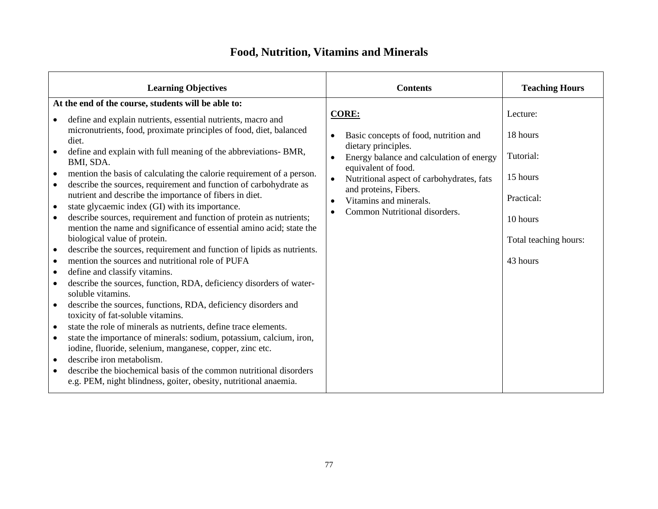### **Food, Nutrition, Vitamins and Minerals**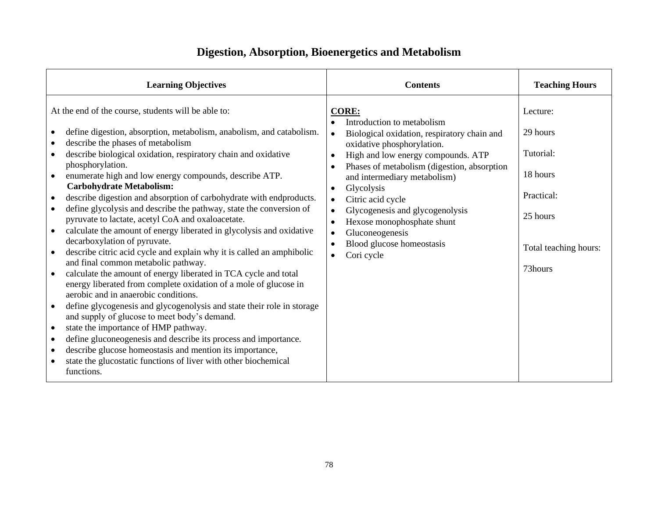## **Digestion, Absorption, Bioenergetics and Metabolism**

| <b>Learning Objectives</b>                                                                                                                                                                                                                                                                                                                                                                                                                                                                                                                                                                                                                                                                                                                                                                                                                                                                                                                                                                                                                                                                                                                                                                                                                                                                                                                                                                                                                                           | <b>Contents</b>                                                                                                                                                                                                                                                                                                                                                                                                                                                                                                                     | <b>Teaching Hours</b>                                                                                       |
|----------------------------------------------------------------------------------------------------------------------------------------------------------------------------------------------------------------------------------------------------------------------------------------------------------------------------------------------------------------------------------------------------------------------------------------------------------------------------------------------------------------------------------------------------------------------------------------------------------------------------------------------------------------------------------------------------------------------------------------------------------------------------------------------------------------------------------------------------------------------------------------------------------------------------------------------------------------------------------------------------------------------------------------------------------------------------------------------------------------------------------------------------------------------------------------------------------------------------------------------------------------------------------------------------------------------------------------------------------------------------------------------------------------------------------------------------------------------|-------------------------------------------------------------------------------------------------------------------------------------------------------------------------------------------------------------------------------------------------------------------------------------------------------------------------------------------------------------------------------------------------------------------------------------------------------------------------------------------------------------------------------------|-------------------------------------------------------------------------------------------------------------|
| At the end of the course, students will be able to:<br>define digestion, absorption, metabolism, anabolism, and catabolism.<br>$\bullet$<br>describe the phases of metabolism<br>describe biological oxidation, respiratory chain and oxidative<br>$\bullet$<br>phosphorylation.<br>enumerate high and low energy compounds, describe ATP.<br><b>Carbohydrate Metabolism:</b><br>describe digestion and absorption of carbohydrate with endproducts.<br>$\bullet$<br>define glycolysis and describe the pathway, state the conversion of<br>pyruvate to lactate, acetyl CoA and oxaloacetate.<br>calculate the amount of energy liberated in glycolysis and oxidative<br>$\bullet$<br>decarboxylation of pyruvate.<br>describe citric acid cycle and explain why it is called an amphibolic<br>and final common metabolic pathway.<br>calculate the amount of energy liberated in TCA cycle and total<br>$\bullet$<br>energy liberated from complete oxidation of a mole of glucose in<br>aerobic and in anaerobic conditions.<br>define glycogenesis and glycogenolysis and state their role in storage<br>$\bullet$<br>and supply of glucose to meet body's demand.<br>state the importance of HMP pathway.<br>$\bullet$<br>define gluconeogenesis and describe its process and importance.<br>$\bullet$<br>describe glucose homeostasis and mention its importance,<br>$\bullet$<br>state the glucostatic functions of liver with other biochemical<br>functions. | <b>CORE:</b><br>Introduction to metabolism<br>Biological oxidation, respiratory chain and<br>$\bullet$<br>oxidative phosphorylation.<br>High and low energy compounds. ATP<br>$\bullet$<br>Phases of metabolism (digestion, absorption<br>$\bullet$<br>and intermediary metabolism)<br>Glycolysis<br>$\bullet$<br>Citric acid cycle<br>$\bullet$<br>Glycogenesis and glycogenolysis<br>$\bullet$<br>Hexose monophosphate shunt<br>$\bullet$<br>Gluconeogenesis<br>$\bullet$<br>Blood glucose homeostasis<br>Cori cycle<br>$\bullet$ | Lecture:<br>29 hours<br>Tutorial:<br>18 hours<br>Practical:<br>25 hours<br>Total teaching hours:<br>73hours |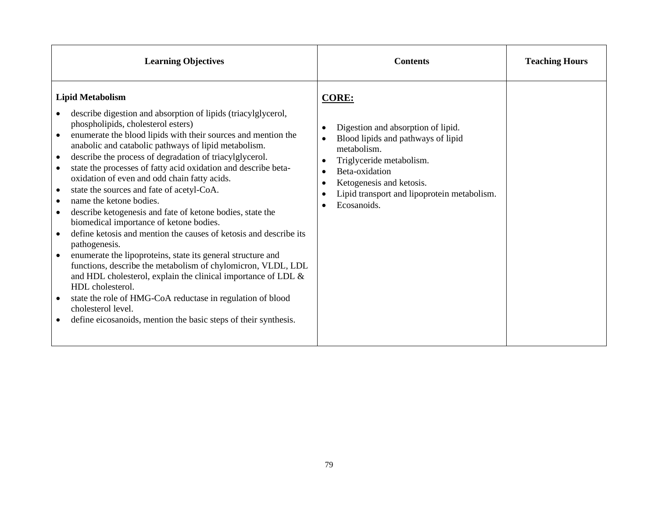| <b>Learning Objectives</b>                                                                                                                                                                                                                                                                                                                                                                                                                                                                                                                                                                                                                                                                                                                                                                                                                                                                                                                                                                                                                                                                         | <b>Contents</b>                                                                                                                                                                                                                                                           | <b>Teaching Hours</b> |
|----------------------------------------------------------------------------------------------------------------------------------------------------------------------------------------------------------------------------------------------------------------------------------------------------------------------------------------------------------------------------------------------------------------------------------------------------------------------------------------------------------------------------------------------------------------------------------------------------------------------------------------------------------------------------------------------------------------------------------------------------------------------------------------------------------------------------------------------------------------------------------------------------------------------------------------------------------------------------------------------------------------------------------------------------------------------------------------------------|---------------------------------------------------------------------------------------------------------------------------------------------------------------------------------------------------------------------------------------------------------------------------|-----------------------|
| <b>Lipid Metabolism</b><br>describe digestion and absorption of lipids (triacylglycerol,<br>phospholipids, cholesterol esters)<br>enumerate the blood lipids with their sources and mention the<br>anabolic and catabolic pathways of lipid metabolism.<br>describe the process of degradation of triacylglycerol.<br>$\bullet$<br>state the processes of fatty acid oxidation and describe beta-<br>oxidation of even and odd chain fatty acids.<br>state the sources and fate of acetyl-CoA.<br>name the ketone bodies.<br>describe ketogenesis and fate of ketone bodies, state the<br>biomedical importance of ketone bodies.<br>define ketosis and mention the causes of ketosis and describe its<br>pathogenesis.<br>enumerate the lipoproteins, state its general structure and<br>functions, describe the metabolism of chylomicron, VLDL, LDL<br>and HDL cholesterol, explain the clinical importance of LDL &<br>HDL cholesterol.<br>state the role of HMG-CoA reductase in regulation of blood<br>cholesterol level.<br>define eicosanoids, mention the basic steps of their synthesis. | <b>CORE:</b><br>Digestion and absorption of lipid.<br>$\bullet$<br>Blood lipids and pathways of lipid<br>metabolism.<br>Triglyceride metabolism.<br>$\bullet$<br>Beta-oxidation<br>Ketogenesis and ketosis.<br>Lipid transport and lipoprotein metabolism.<br>Ecosanoids. |                       |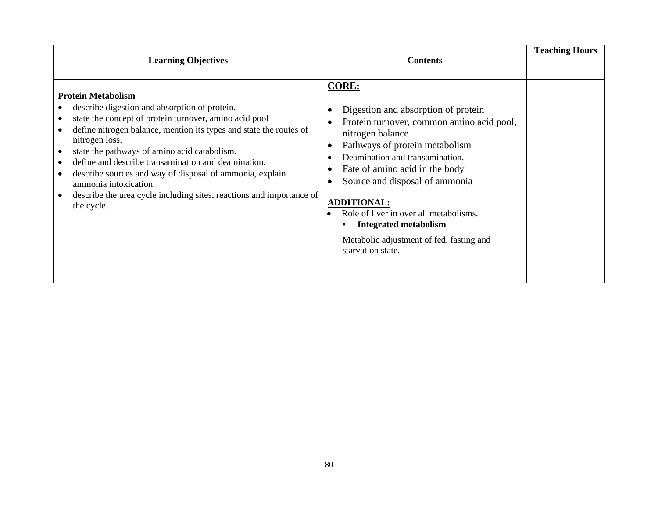| <b>Learning Objectives</b>                                                                                                                                                                                                                                                                                                                                                                                                                                                                                    | <b>Contents</b>                                                                                                                                                                                                                                                                                                                                                                                                                                                                                                           | <b>Teaching Hours</b> |
|---------------------------------------------------------------------------------------------------------------------------------------------------------------------------------------------------------------------------------------------------------------------------------------------------------------------------------------------------------------------------------------------------------------------------------------------------------------------------------------------------------------|---------------------------------------------------------------------------------------------------------------------------------------------------------------------------------------------------------------------------------------------------------------------------------------------------------------------------------------------------------------------------------------------------------------------------------------------------------------------------------------------------------------------------|-----------------------|
| <b>Protein Metabolism</b><br>describe digestion and absorption of protein.<br>state the concept of protein turnover, amino acid pool<br>define nitrogen balance, mention its types and state the routes of<br>nitrogen loss.<br>state the pathways of amino acid catabolism.<br>define and describe transamination and deamination.<br>describe sources and way of disposal of ammonia, explain<br>ammonia intoxication<br>describe the urea cycle including sites, reactions and importance of<br>the cycle. | <b>CORE:</b><br>Digestion and absorption of protein<br>$\bullet$<br>Protein turnover, common amino acid pool,<br>$\bullet$<br>nitrogen balance<br>Pathways of protein metabolism<br>$\bullet$<br>Deamination and transamination.<br>$\bullet$<br>Fate of amino acid in the body<br>$\bullet$<br>Source and disposal of ammonia<br>$\bullet$<br><b>ADDITIONAL:</b><br>Role of liver in over all metabolisms.<br>$\bullet$<br><b>Integrated metabolism</b><br>Metabolic adjustment of fed, fasting and<br>starvation state. |                       |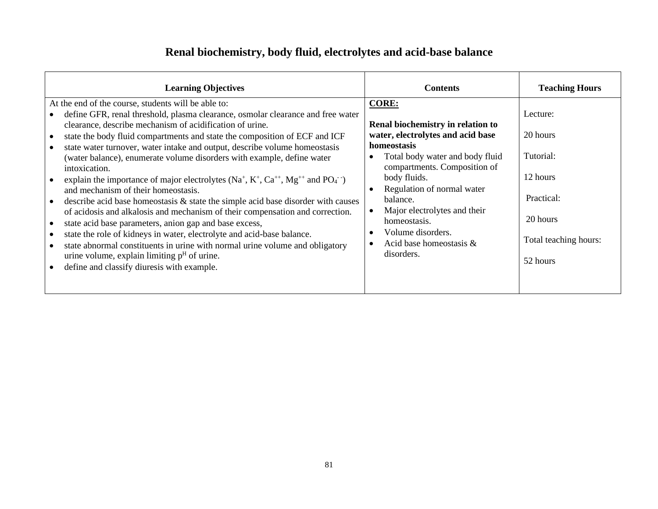### **Renal biochemistry, body fluid, electrolytes and acid-base balance**

| <b>Learning Objectives</b>                                                                                                                                                                                                                                                                                                                                                                                                                                                                                                                                                                                                                                                                                                                                                                                                                                                                                                                                                                                                                                                               | <b>Contents</b>                                                                                                                                                                                                                                                                                                                                                               | <b>Teaching Hours</b>                                                                                        |
|------------------------------------------------------------------------------------------------------------------------------------------------------------------------------------------------------------------------------------------------------------------------------------------------------------------------------------------------------------------------------------------------------------------------------------------------------------------------------------------------------------------------------------------------------------------------------------------------------------------------------------------------------------------------------------------------------------------------------------------------------------------------------------------------------------------------------------------------------------------------------------------------------------------------------------------------------------------------------------------------------------------------------------------------------------------------------------------|-------------------------------------------------------------------------------------------------------------------------------------------------------------------------------------------------------------------------------------------------------------------------------------------------------------------------------------------------------------------------------|--------------------------------------------------------------------------------------------------------------|
| At the end of the course, students will be able to:<br>define GFR, renal threshold, plasma clearance, osmolar clearance and free water<br>clearance, describe mechanism of acidification of urine.<br>state the body fluid compartments and state the composition of ECF and ICF<br>state water turnover, water intake and output, describe volume homeostasis<br>(water balance), enumerate volume disorders with example, define water<br>intoxication.<br>explain the importance of major electrolytes $(Na^+, K^+, Ca^{++}, Mg^{++}$ and $PO_4^-)$<br>and mechanism of their homeostasis.<br>describe acid base homeostasis $\&$ state the simple acid base disorder with causes<br>of acidosis and alkalosis and mechanism of their compensation and correction.<br>state acid base parameters, anion gap and base excess,<br>state the role of kidneys in water, electrolyte and acid-base balance.<br>state abnormal constituents in urine with normal urine volume and obligatory<br>urine volume, explain limiting $pH$ of urine.<br>define and classify diuresis with example. | <b>CORE:</b><br>Renal biochemistry in relation to<br>water, electrolytes and acid base<br>homeostasis<br>Total body water and body fluid<br>compartments. Composition of<br>body fluids.<br>Regulation of normal water<br>$\bullet$<br>balance.<br>Major electrolytes and their<br>homeostasis.<br>Volume disorders.<br>$\bullet$<br>Acid base homeostasis $\&$<br>disorders. | Lecture:<br>20 hours<br>Tutorial:<br>12 hours<br>Practical:<br>20 hours<br>Total teaching hours:<br>52 hours |
|                                                                                                                                                                                                                                                                                                                                                                                                                                                                                                                                                                                                                                                                                                                                                                                                                                                                                                                                                                                                                                                                                          |                                                                                                                                                                                                                                                                                                                                                                               |                                                                                                              |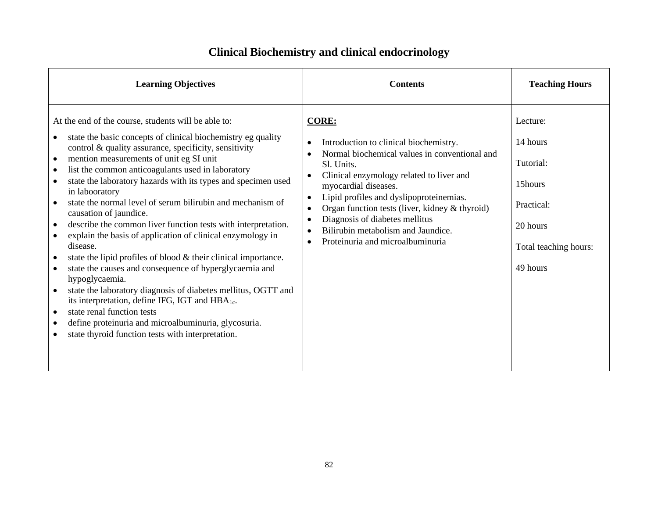| <b>Learning Objectives</b>                                                                                                                                                                                                                                                                                                                                                                                                                                                                                                                                                                                                                                                                                                                                                                                                                                                                                                                                                                                                                                                                                                                                                              | <b>Contents</b>                                                                                                                                                                                                                                                                                                                                                                                                                                                     | <b>Teaching Hours</b>                                                                                       |
|-----------------------------------------------------------------------------------------------------------------------------------------------------------------------------------------------------------------------------------------------------------------------------------------------------------------------------------------------------------------------------------------------------------------------------------------------------------------------------------------------------------------------------------------------------------------------------------------------------------------------------------------------------------------------------------------------------------------------------------------------------------------------------------------------------------------------------------------------------------------------------------------------------------------------------------------------------------------------------------------------------------------------------------------------------------------------------------------------------------------------------------------------------------------------------------------|---------------------------------------------------------------------------------------------------------------------------------------------------------------------------------------------------------------------------------------------------------------------------------------------------------------------------------------------------------------------------------------------------------------------------------------------------------------------|-------------------------------------------------------------------------------------------------------------|
| At the end of the course, students will be able to:<br>state the basic concepts of clinical biochemistry eg quality<br>control & quality assurance, specificity, sensitivity<br>mention measurements of unit eg SI unit<br>$\bullet$<br>list the common anticoagulants used in laboratory<br>$\bullet$<br>state the laboratory hazards with its types and specimen used<br>$\bullet$<br>in labooratory<br>state the normal level of serum bilirubin and mechanism of<br>$\bullet$<br>causation of jaundice.<br>describe the common liver function tests with interpretation.<br>$\bullet$<br>explain the basis of application of clinical enzymology in<br>$\bullet$<br>disease.<br>state the lipid profiles of blood & their clinical importance.<br>$\bullet$<br>state the causes and consequence of hyperglycaemia and<br>$\bullet$<br>hypoglycaemia.<br>state the laboratory diagnosis of diabetes mellitus, OGTT and<br>$\bullet$<br>its interpretation, define IFG, IGT and HBA <sub>1c</sub> .<br>state renal function tests<br>$\bullet$<br>define proteinuria and microalbuminuria, glycosuria.<br>$\bullet$<br>state thyroid function tests with interpretation.<br>$\bullet$ | <b>CORE:</b><br>Introduction to clinical biochemistry.<br>$\bullet$<br>Normal biochemical values in conventional and<br>Sl. Units.<br>Clinical enzymology related to liver and<br>$\bullet$<br>myocardial diseases.<br>Lipid profiles and dyslipoproteinemias.<br>$\bullet$<br>Organ function tests (liver, kidney & thyroid)<br>$\bullet$<br>Diagnosis of diabetes mellitus<br>$\bullet$<br>Bilirubin metabolism and Jaundice.<br>Proteinuria and microalbuminuria | Lecture:<br>14 hours<br>Tutorial:<br>15hours<br>Practical:<br>20 hours<br>Total teaching hours:<br>49 hours |

### **Clinical Biochemistry and clinical endocrinology**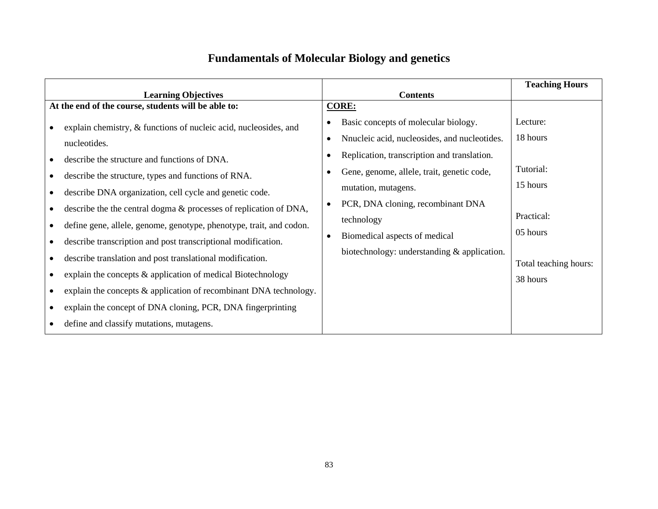## **Fundamentals of Molecular Biology and genetics**

|                                                                                                                                                                                                                                                                                                                                                                                                                                                                                                                                                                                                                                                                                                                                    |                                                                                                                                                                                                                                                                                                                                                          | <b>Teaching Hours</b>                                                                                        |
|------------------------------------------------------------------------------------------------------------------------------------------------------------------------------------------------------------------------------------------------------------------------------------------------------------------------------------------------------------------------------------------------------------------------------------------------------------------------------------------------------------------------------------------------------------------------------------------------------------------------------------------------------------------------------------------------------------------------------------|----------------------------------------------------------------------------------------------------------------------------------------------------------------------------------------------------------------------------------------------------------------------------------------------------------------------------------------------------------|--------------------------------------------------------------------------------------------------------------|
| <b>Learning Objectives</b>                                                                                                                                                                                                                                                                                                                                                                                                                                                                                                                                                                                                                                                                                                         | <b>Contents</b>                                                                                                                                                                                                                                                                                                                                          |                                                                                                              |
| At the end of the course, students will be able to:                                                                                                                                                                                                                                                                                                                                                                                                                                                                                                                                                                                                                                                                                | <b>CORE:</b>                                                                                                                                                                                                                                                                                                                                             |                                                                                                              |
| explain chemistry, & functions of nucleic acid, nucleosides, and<br>nucleotides.<br>describe the structure and functions of DNA.<br>describe the structure, types and functions of RNA.<br>describe DNA organization, cell cycle and genetic code.<br>describe the the central dogma & processes of replication of DNA,<br>define gene, allele, genome, genotype, phenotype, trait, and codon.<br>describe transcription and post transcriptional modification.<br>describe translation and post translational modification.<br>explain the concepts & application of medical Biotechnology<br>explain the concepts $\&$ application of recombinant DNA technology.<br>explain the concept of DNA cloning, PCR, DNA fingerprinting | Basic concepts of molecular biology.<br>Nnucleic acid, nucleosides, and nucleotides.<br>Replication, transcription and translation.<br>Gene, genome, allele, trait, genetic code,<br>mutation, mutagens.<br>PCR, DNA cloning, recombinant DNA<br>$\bullet$<br>technology<br>Biomedical aspects of medical<br>biotechnology: understanding & application. | Lecture:<br>18 hours<br>Tutorial:<br>15 hours<br>Practical:<br>05 hours<br>Total teaching hours:<br>38 hours |
| define and classify mutations, mutagens.                                                                                                                                                                                                                                                                                                                                                                                                                                                                                                                                                                                                                                                                                           |                                                                                                                                                                                                                                                                                                                                                          |                                                                                                              |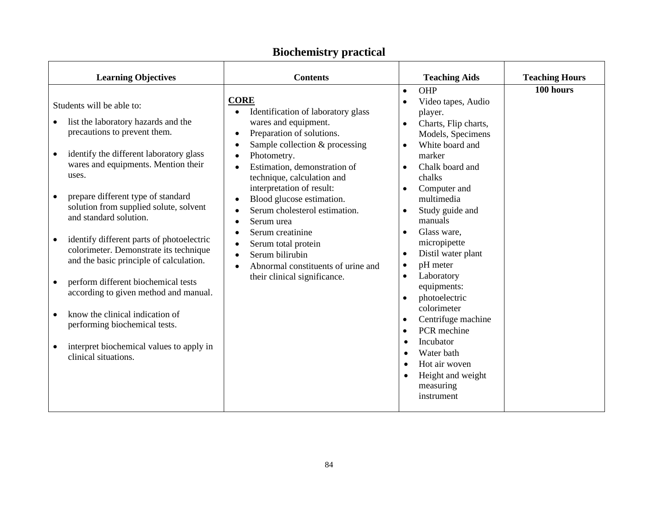| <b>Learning Objectives</b>                                                                                                                                                                                                                                                                                                                                                                                                                                                                                                                                                                                                                                                                                          | <b>Contents</b>                                                                                                                                                                                                                                                                                                                                                                                                                                                                                           | <b>Teaching Aids</b>                                                                                                                                                                                                                                                                                                                                                                                                                                                                                                                                                                                                                                                      | <b>Teaching Hours</b> |
|---------------------------------------------------------------------------------------------------------------------------------------------------------------------------------------------------------------------------------------------------------------------------------------------------------------------------------------------------------------------------------------------------------------------------------------------------------------------------------------------------------------------------------------------------------------------------------------------------------------------------------------------------------------------------------------------------------------------|-----------------------------------------------------------------------------------------------------------------------------------------------------------------------------------------------------------------------------------------------------------------------------------------------------------------------------------------------------------------------------------------------------------------------------------------------------------------------------------------------------------|---------------------------------------------------------------------------------------------------------------------------------------------------------------------------------------------------------------------------------------------------------------------------------------------------------------------------------------------------------------------------------------------------------------------------------------------------------------------------------------------------------------------------------------------------------------------------------------------------------------------------------------------------------------------------|-----------------------|
| Students will be able to:<br>list the laboratory hazards and the<br>precautions to prevent them.<br>identify the different laboratory glass<br>$\bullet$<br>wares and equipments. Mention their<br>uses.<br>prepare different type of standard<br>$\bullet$<br>solution from supplied solute, solvent<br>and standard solution.<br>identify different parts of photoelectric<br>colorimeter. Demonstrate its technique<br>and the basic principle of calculation.<br>perform different biochemical tests<br>$\bullet$<br>according to given method and manual.<br>know the clinical indication of<br>performing biochemical tests.<br>interpret biochemical values to apply in<br>$\bullet$<br>clinical situations. | <b>CORE</b><br>Identification of laboratory glass<br>wares and equipment.<br>Preparation of solutions.<br>$\bullet$<br>Sample collection & processing<br>$\bullet$<br>Photometry.<br>Estimation, demonstration of<br>technique, calculation and<br>interpretation of result:<br>Blood glucose estimation.<br>Serum cholesterol estimation.<br>Serum urea<br>Serum creatinine<br>$\bullet$<br>Serum total protein<br>Serum bilirubin<br>Abnormal constituents of urine and<br>their clinical significance. | OHP<br>$\bullet$<br>Video tapes, Audio<br>player.<br>Charts, Flip charts,<br>$\bullet$<br>Models, Specimens<br>White board and<br>$\bullet$<br>marker<br>Chalk board and<br>$\bullet$<br>chalks<br>Computer and<br>$\bullet$<br>multimedia<br>Study guide and<br>$\bullet$<br>manuals<br>Glass ware,<br>$\bullet$<br>micropipette<br>Distil water plant<br>$\bullet$<br>pH meter<br>$\bullet$<br>Laboratory<br>$\bullet$<br>equipments:<br>photoelectric<br>$\bullet$<br>colorimeter<br>Centrifuge machine<br>$\bullet$<br>PCR mechine<br>$\bullet$<br>Incubator<br>$\bullet$<br>Water bath<br>Hot air woven<br>$\bullet$<br>Height and weight<br>measuring<br>instrument | 100 hours             |

### **Biochemistry practical**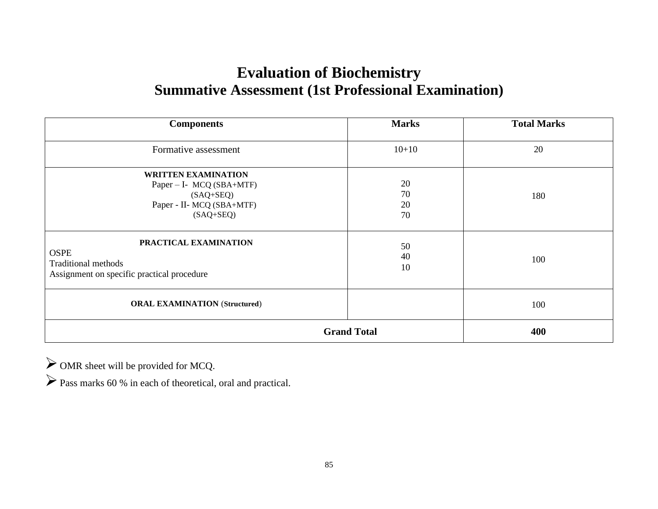# **Evaluation of Biochemistry Summative Assessment (1st Professional Examination)**

| <b>Components</b>                                                                                                     | <b>Marks</b>         | <b>Total Marks</b> |
|-----------------------------------------------------------------------------------------------------------------------|----------------------|--------------------|
| Formative assessment                                                                                                  | $10 + 10$            | 20                 |
| <b>WRITTEN EXAMINATION</b><br>Paper - I- MCQ (SBA+MTF)<br>$(SAQ + SEQ)$<br>Paper - II- MCQ (SBA+MTF)<br>$(SAQ + SEQ)$ | 20<br>70<br>20<br>70 | 180                |
| PRACTICAL EXAMINATION<br><b>OSPE</b><br><b>Traditional methods</b><br>Assignment on specific practical procedure      | 50<br>40<br>10       | 100                |
| <b>ORAL EXAMINATION (Structured)</b>                                                                                  |                      | 100                |
|                                                                                                                       | <b>Grand Total</b>   | 400                |

➢OMR sheet will be provided for MCQ.

➢Pass marks 60 % in each of theoretical, oral and practical.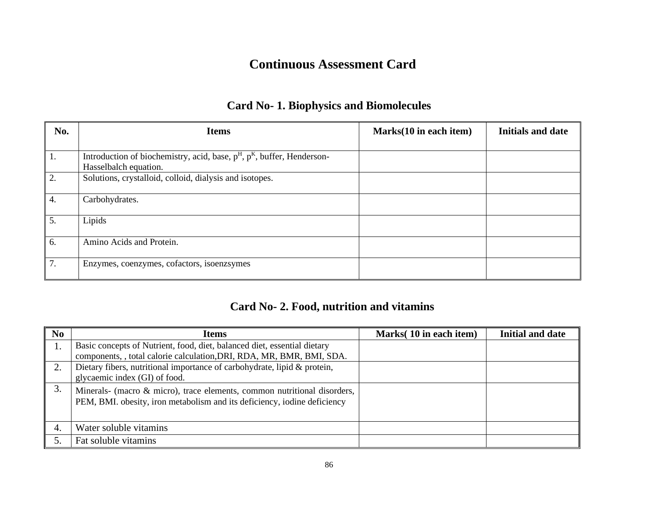### **Continuous Assessment Card**

#### **Card No- 1. Biophysics and Biomolecules**

| No. | <b>Items</b>                                                               | Marks(10 in each item) | <b>Initials and date</b> |
|-----|----------------------------------------------------------------------------|------------------------|--------------------------|
|     |                                                                            |                        |                          |
| 1.  | Introduction of biochemistry, acid, base, $pH$ , $pK$ , buffer, Henderson- |                        |                          |
|     | Hasselbalch equation.                                                      |                        |                          |
| 2.  | Solutions, crystalloid, colloid, dialysis and isotopes.                    |                        |                          |
| 4.  | Carbohydrates.                                                             |                        |                          |
| 5.  | Lipids                                                                     |                        |                          |
| 6.  | Amino Acids and Protein.                                                   |                        |                          |
| 7.  | Enzymes, coenzymes, cofactors, isoenzsymes                                 |                        |                          |

#### **Card No- 2. Food, nutrition and vitamins**

| No | <b>Items</b>                                                                                                                                         | Marks(10 in each item) | <b>Initial and date</b> |
|----|------------------------------------------------------------------------------------------------------------------------------------------------------|------------------------|-------------------------|
|    | Basic concepts of Nutrient, food, diet, balanced diet, essential dietary                                                                             |                        |                         |
|    | components, , total calorie calculation, DRI, RDA, MR, BMR, BMI, SDA.                                                                                |                        |                         |
| 2. | Dietary fibers, nutritional importance of carbohydrate, lipid & protein,                                                                             |                        |                         |
|    | glycaemic index (GI) of food.                                                                                                                        |                        |                         |
| 3. | Minerals- (macro & micro), trace elements, common nutritional disorders,<br>PEM, BMI. obesity, iron metabolism and its deficiency, iodine deficiency |                        |                         |
| 4. | Water soluble vitamins                                                                                                                               |                        |                         |
|    | Fat soluble vitamins                                                                                                                                 |                        |                         |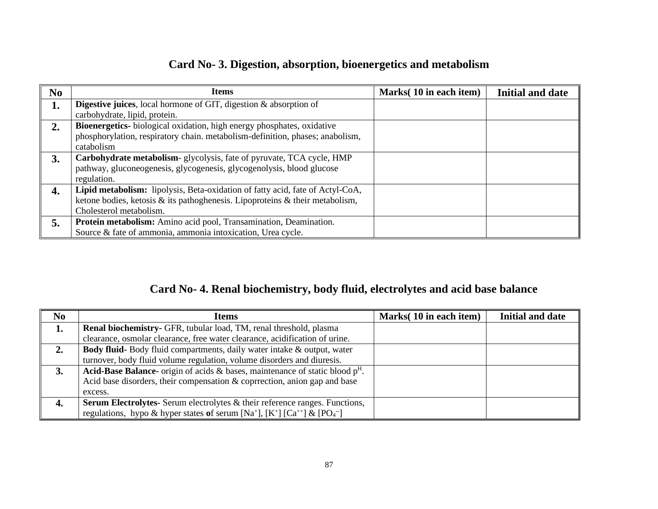#### **Card No- 3. Digestion, absorption, bioenergetics and metabolism**

| N <sub>o</sub> | <b>Items</b>                                                                       | Marks(10 in each item) | Initial and date |
|----------------|------------------------------------------------------------------------------------|------------------------|------------------|
| 1.             | <b>Digestive juices</b> , local hormone of GIT, digestion $\&$ absorption of       |                        |                  |
|                | carbohydrate, lipid, protein.                                                      |                        |                  |
| 2.             | Bioenergetics-biological oxidation, high energy phosphates, oxidative              |                        |                  |
|                | phosphorylation, respiratory chain. metabolism-definition, phases; anabolism,      |                        |                  |
|                | catabolism                                                                         |                        |                  |
| 3.             | Carbohydrate metabolism-glycolysis, fate of pyruvate, TCA cycle, HMP               |                        |                  |
|                | pathway, gluconeogenesis, glycogenesis, glycogenolysis, blood glucose              |                        |                  |
|                | regulation.                                                                        |                        |                  |
| 4.             | Lipid metabolism: lipolysis, Beta-oxidation of fatty acid, fate of Actyl-CoA,      |                        |                  |
|                | ketone bodies, ketosis $\&$ its pathoghenesis. Lipoproteins $\&$ their metabolism, |                        |                  |
|                | Cholesterol metabolism.                                                            |                        |                  |
| 5.             | Protein metabolism: Amino acid pool, Transamination, Deamination.                  |                        |                  |
|                | Source & fate of ammonia, ammonia intoxication, Urea cycle.                        |                        |                  |

### **Card No- 4. Renal biochemistry, body fluid, electrolytes and acid base balance**

| N <sub>0</sub> | <b>Items</b>                                                                                                                           | Marks(10 in each item) | Initial and date |
|----------------|----------------------------------------------------------------------------------------------------------------------------------------|------------------------|------------------|
| 1.             | <b>Renal biochemistry-</b> GFR, tubular load, TM, renal threshold, plasma                                                              |                        |                  |
|                | clearance, osmolar clearance, free water clearance, acidification of urine.                                                            |                        |                  |
| 2.             | <b>Body fluid-</b> Body fluid compartments, daily water intake & output, water                                                         |                        |                  |
|                | turnover, body fluid volume regulation, volume disorders and diuresis.                                                                 |                        |                  |
| 3.             | <b>Acid-Base Balance-</b> origin of acids & bases, maintenance of static blood $pH$ .                                                  |                        |                  |
|                | Acid base disorders, their compensation $\&$ coprrection, anion gap and base                                                           |                        |                  |
|                | excess.                                                                                                                                |                        |                  |
| 4.             | <b>Serum Electrolytes-</b> Serum electrolytes & their reference ranges. Functions,                                                     |                        |                  |
|                | regulations, hypo & hyper states of serum [Na <sup>+</sup> ], [K <sup>+</sup> ] [Ca <sup>++</sup> ] & [PO <sub>4</sub> <sup>--</sup> ] |                        |                  |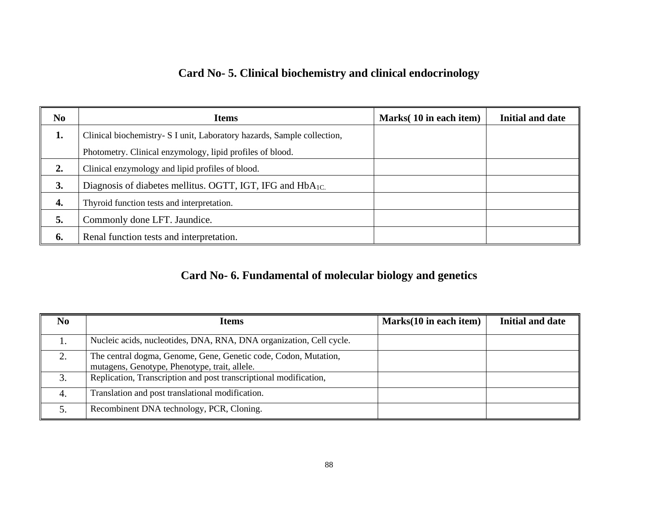## **Card No- 5. Clinical biochemistry and clinical endocrinology**

| N <sub>0</sub> | <b>Items</b>                                                            | Marks(10 in each item) | <b>Initial and date</b> |
|----------------|-------------------------------------------------------------------------|------------------------|-------------------------|
| 1.             | Clinical biochemistry- S I unit, Laboratory hazards, Sample collection, |                        |                         |
|                | Photometry. Clinical enzymology, lipid profiles of blood.               |                        |                         |
| 2.             | Clinical enzymology and lipid profiles of blood.                        |                        |                         |
| 3.             | Diagnosis of diabetes mellitus. OGTT, IGT, IFG and HbA <sub>1C</sub> .  |                        |                         |
| 4.             | Thyroid function tests and interpretation.                              |                        |                         |
| 5.             | Commonly done LFT. Jaundice.                                            |                        |                         |
| 6.             | Renal function tests and interpretation.                                |                        |                         |

## **Card No- 6. Fundamental of molecular biology and genetics**

| N <sub>0</sub> | Items                                                                                                            | Marks(10 in each item) | Initial and date |
|----------------|------------------------------------------------------------------------------------------------------------------|------------------------|------------------|
| .,             | Nucleic acids, nucleotides, DNA, RNA, DNA organization, Cell cycle.                                              |                        |                  |
|                | The central dogma, Genome, Gene, Genetic code, Codon, Mutation,<br>mutagens, Genotype, Phenotype, trait, allele. |                        |                  |
| $\mathbf{R}$   | Replication, Transcription and post transcriptional modification,                                                |                        |                  |
| 4.             | Translation and post translational modification.                                                                 |                        |                  |
|                | Recombinent DNA technology, PCR, Cloning.                                                                        |                        |                  |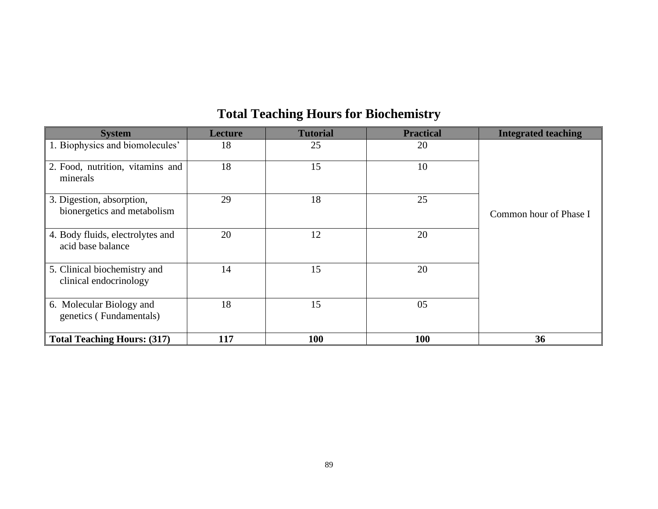| <b>System</b>                                            | Lecture | <b>Tutorial</b> | <b>Practical</b> | <b>Integrated teaching</b> |
|----------------------------------------------------------|---------|-----------------|------------------|----------------------------|
| 1. Biophysics and biomolecules'                          | 18      | 25              | 20               |                            |
| 2. Food, nutrition, vitamins and<br>minerals             | 18      | 15              | 10               |                            |
| 3. Digestion, absorption,<br>bionergetics and metabolism | 29      | 18              | 25               | Common hour of Phase I     |
| 4. Body fluids, electrolytes and<br>acid base balance    | 20      | 12              | 20               |                            |
| 5. Clinical biochemistry and<br>clinical endocrinology   | 14      | 15              | 20               |                            |
| 6. Molecular Biology and<br>genetics (Fundamentals)      | 18      | 15              | 05               |                            |
| Total Teaching Hours: (317)                              | 117     | <b>100</b>      | 100              | 36                         |

# **Total Teaching Hours for Biochemistry**